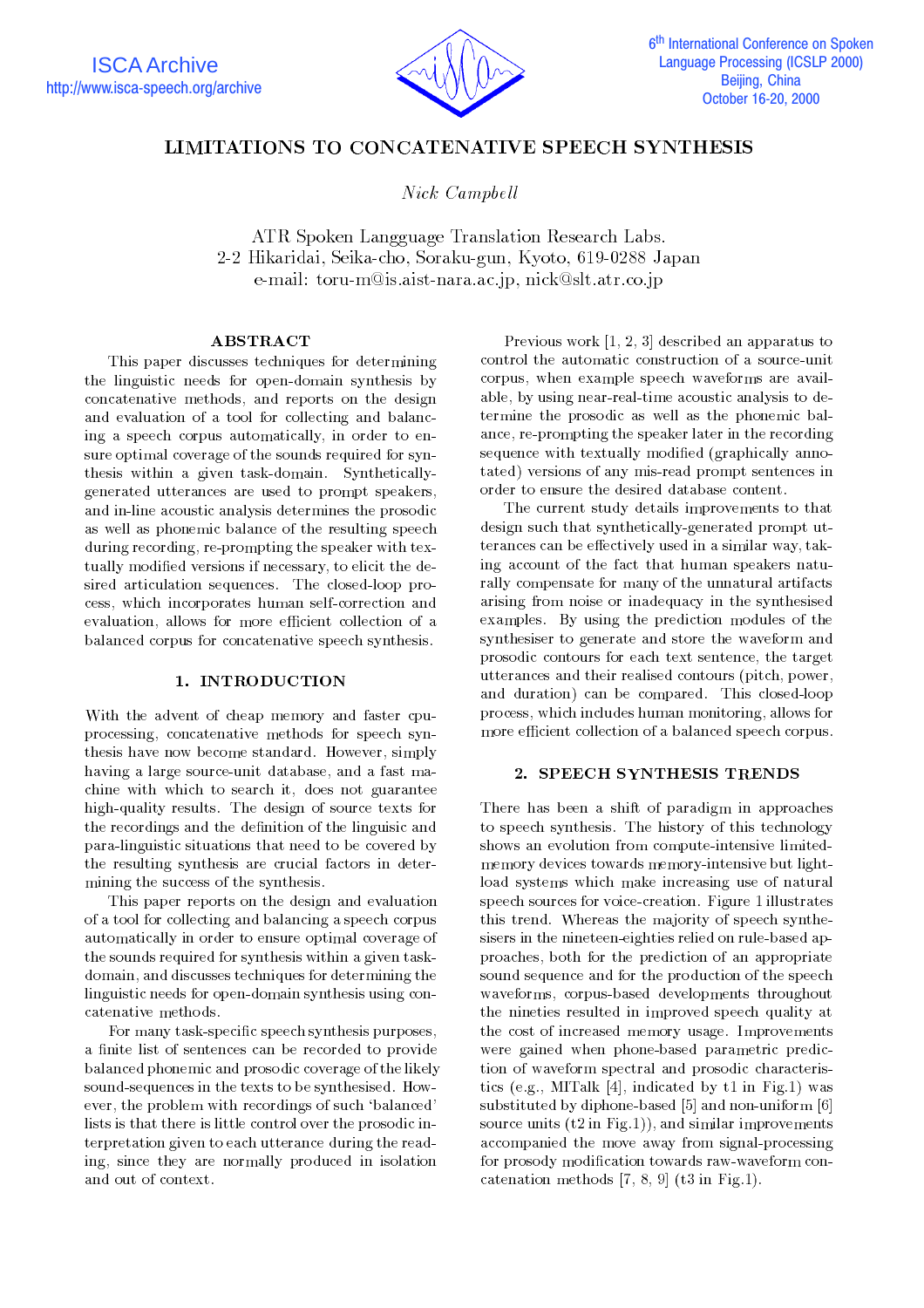

# LIMITATIONS TO CONCATENATIVE SPEECH SYNTHESIS

Nick Campbell

ATR Spoken Langguage Translation Research Labs. 2-2 Hikaridai, Seika-cho, Soraku-gun, Kyoto, 619-0288 Japan e-mail: toru-m@is.aist-nara.ac.jp, nick@slt.atr.co.jp

## ABSTRACT

This paper discusses techniques for determining the linguistic needs for open-domain synthesis by concatenative methods, and reports on the design and evaluation of a tool for collecting and balancing a speech corpus automatically, in order to ensure optimal coverage of the sounds required for synthesis within a given task-domain. Syntheticallygenerated utterances are used to prompt speakers, and in-line acoustic analysis determines the prosodic as well as phonemic balance of the resulting speech during recording, re-prompting the speaker with textually modied versions if necessary, to elicit the desired articulation sequences. The closed-loop process, which incorporates human self-correction and evaluation, allows for more efficient collection of a balanced corpus for concatenative speech synthesis.

## 1. INTRODUCTION

With the advent of cheap memory and faster cpuprocessing, concatenative methods for speech synthesis have now become standard. However, simply having a large source-unit database, and a fast machine with which to search it, does not guarantee high-quality results. The design of source texts for the recordings and the definition of the linguisic and para-linguistic situations that need to be covered by the resulting synthesis are crucial factors in determining the success of the synthesis.

This paper reports on the design and evaluation of a tool for collecting and balancing a speech corpus automatically in order to ensure optimal coverage of the sounds required for synthesis within a given taskdomain, and discusses techniques for determining the linguistic needs for open-domain synthesis using concatenative methods.

For many task-specic speech synthesis purposes, a finite list of sentences can be recorded to provide balanced phonemic and prosodic coverage of the likely sound-sequences in the texts to be synthesised. However, the problem with recordings of such 'balanced' lists is that there is little control over the prosodic interpretation given to each utterance during the reading, since they are normally produced in isolation and out of context.

Previous work [1, 2, 3] described an apparatus to control the automatic construction of a source-unit corpus, when example speech waveforms are available, by using near-real-time acoustic analysis to determine the prosodic as well as the phonemic balance, re-prompting the speaker later in the recording sequence with textually modified (graphically annotated) versions of any mis-read prompt sentences in order to ensure the desired database content.

The current study details improvements to that design such that synthetically-generated prompt utterances can be effectively used in a similar way, taking account of the fact that human speakers naturally compensate for many of the unnatural artifacts arising from noise or inadequacy in the synthesised examples. By using the prediction modules of the synthesiser to generate and store the waveform and prosodic contours for each text sentence, the target utterances and their realised contours (pitch, power, and duration) can be compared. This closed-loop process, which includes human monitoring, allows for more efficient collection of a balanced speech corpus.

## 2. SPEECH SYNTHESIS TRENDS

There has been a shift of paradigm in approaches to speech synthesis. The history of this technology shows an evolution from compute-intensive limitedmemory devices towards memory-intensive but lightload systems which make increasing use of natural speech sources for voice-creation. Figure 1 illustrates this trend. Whereas the majority of speech synthesisers in the nineteen-eighties relied on rule-based approaches, both for the prediction of an appropriate sound sequence and for the production of the speech waveforms, corpus-based developments throughout the nineties resulted in improved speech quality at the cost of increased memory usage. Improvements were gained when phone-based parametric prediction of waveform spectral and prosodic characteristics (e.g., MITalk [4], indicated by t1 in Fig.1) was substituted by diphone-based [5] and non-uniform [6] source units  $(t2 \text{ in Fig.1})$ , and similar improvements accompanied the move away from signal-processing for prosody modication towards raw-waveform concatenation methods [7, 8, 9] (t3 in Fig.1).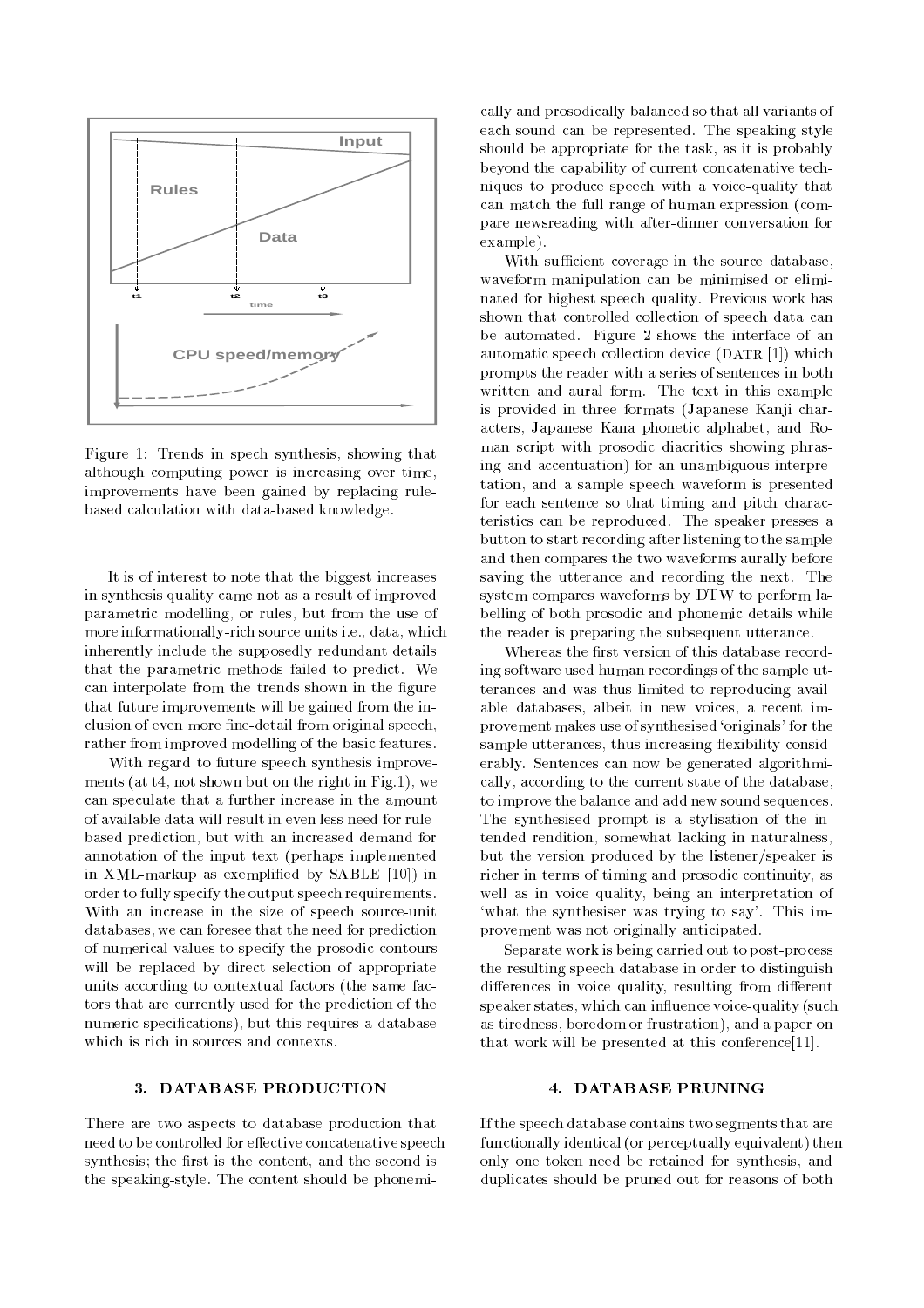

Figure 1: Trends in spech synthesis, showing that although computing power is increasing over time, improvements have been gained by replacing rulebased calculation with data-based knowledge.

It is of interest to note that the biggest increases in synthesis quality came not as a result of improved parametric modelling, or rules, but from the use of more informationally-rich source units i.e., data, which inherently include the supposedly redundant details that the parametric methods failed to predict. We can interpolate from the trends shown in the figure that future improvements will be gained from the inclusion of even more fine-detail from original speech, rather from improved modelling of the basic features.

With regard to future speech synthesis improve ments (at t4, not shown but on the right in Fig.1), we can speculate that a further increase in the amount of available data will result in even less need for rulebased prediction, but with an increased demand for annotation of the input text (perhaps implemented in XML-markup as exemplied by SABLE [10]) in order to fully specify the output speech requirements. With an increase in the size of speech source-unit databases, we can foresee that the need for prediction of numerical values to specify the prosodic contours will be replaced by direct selection of appropriate units according to contextual factors (the same factors that are currently used for the prediction of the numeric specifications), but this requires a database which is rich in sources and contexts.

### 3. DATABASE PRODUCTION

There are two aspects to database production that need to be controlled for effective concatenative speech synthesis; the first is the content, and the second is the speaking-style. The content should be phonemi-

cally and prosodically balanced so that all variants of each sound can be represented. The speaking style should be appropriate for the task, as it is probably beyond the capability of current concatenative techniques to produce speech with a voice-quality that can match the full range of human expression (compare newsreading with after-dinner conversation for example).

With sufficient coverage in the source database, waveform manipulation can be minimised or eliminated for highest speech quality. Previous work has shown that controlled collection of speech data can be automated. Figure 2 shows the interface of an automatic speech collection device (DATR [1]) which prompts the reader with a series of sentences in both written and aural form. The text in this example is provided in three formats (Japanese Kanji characters, Japanese Kana phonetic alphabet, and Roman script with prosodic diacritics showing phrasing and accentuation) for an unambiguous interpretation, and a sample speech waveform is presented for each sentence so that timing and pitch characteristics can be reproduced. The speaker presses a button to start recording after listening to the sample and then compares the two waveforms aurally before saving the utterance and recording the next. The system compares waveforms by DTW to perform labelling of both prosodic and phonemic details while the reader is preparing the subsequent utterance.

Whereas the first version of this database recording software used human recordings of the sample utterances and was thus limited to reproducing available databases, albeit in new voices, a recent improvement makes use of synthesised `originals' for the sample utterances, thus increasing flexibility considerably. Sentences can now be generated algorithmically, according to the current state of the database, to improve the balance and add new sound sequences. The synthesised prompt is a stylisation of the intended rendition, somewhat lacking in naturalness, but the version produced by the listener/speaker is richer in terms of timing and prosodic continuity, as well as in voice quality, being an interpretation of 'what the synthesiser was trying to say'. This improvement was not originally anticipated.

Separate work is being carried out to post-process the resulting speech database in order to distinguish differences in voice quality, resulting from different speaker states, which can influence voice-quality (such as tiredness, boredom or frustration), and a paper on that work will be presented at this conference[11].

#### 4. DATABASE PRUNING

If the speech database contains two segments that are functionally identical (or perceptually equivalent) then only one token need be retained for synthesis, and duplicates should be pruned out for reasons of both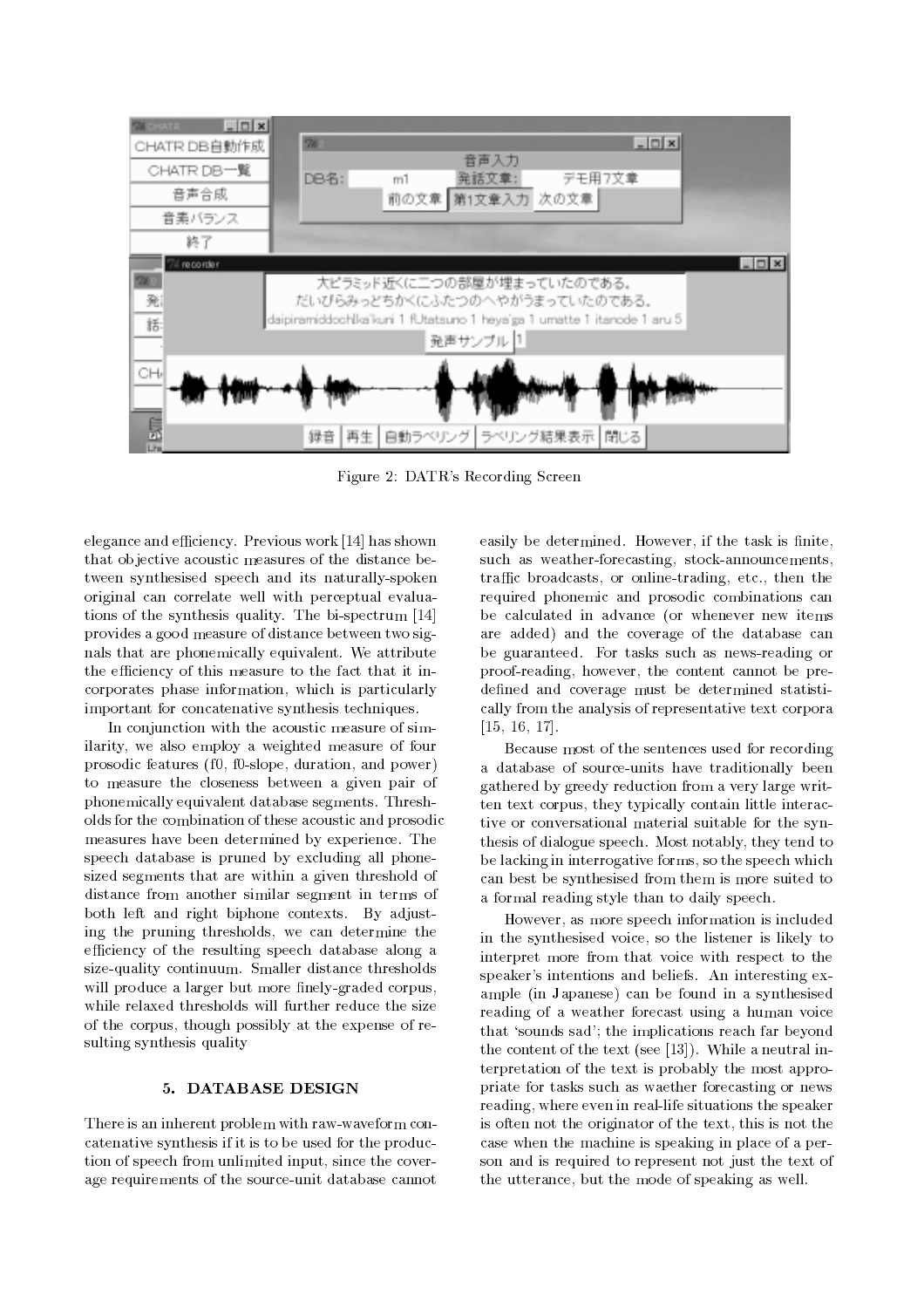

Figure 2: DATR's Recording Screen

elegance and efficiency. Previous work [14] has shown that ob jective acoustic measures of the distance between synthesised speech and its naturally-spoken original can correlate well with perceptual evaluations of the synthesis quality. The bi-spectrum [14] provides a good measure of distance between two signals that are phonemically equivalent. We attribute the efficiency of this measure to the fact that it incorporates phase information, which is particularly important for concatenative synthesis techniques.

In conjunction with the acoustic measure of similarity, we also employ a weighted measure of four prosodic features (f0, f0-slope, duration, and power) to measure the closeness between a given pair of phonemically equivalent database segments. Thresholds for the combination of these acoustic and prosodic measures have been determined by experience. The speech database is pruned by excluding all phonesized segments that are within a given threshold of distance from another similar segment in terms of both left and right biphone contexts. By adjusting the pruning thresholds, we can determine the efficiency of the resulting speech database along a size-quality continuum. Smaller distance thresholds will produce a larger but more finely-graded corpus, while relaxed thresholds will further reduce the size of the corpus, though possibly at the expense of resulting synthesis quality

# 5. DATABASE DESIGN

There is an inherent problem with raw-waveform concatenative synthesis if it is to be used for the production of speech from unlimited input, since the coverage requirements of the source-unit database cannot easily be determined. However, if the task is finite, such as weather-forecasting, stock-announcements, traffic broadcasts, or online-trading, etc., then the required phonemic and prosodic combinations can be calculated in advance (or whenever new items are added) and the coverage of the database can be guaranteed. For tasks such as news-reading or proof-reading, however, the content cannot be predefined and coverage must be determined statistically from the analysis of representative text corpora [15, 16, 17].

Because most of the sentences used for recording a database of source-units have traditionally been gathered by greedy reduction from a very large written text corpus, they typically contain little interactive or conversational material suitable for the synthesis of dialogue speech. Most notably, they tend to be lacking in interrogative forms, so the speech which can best be synthesised from them is more suited to a formal reading style than to daily speech.

However, as more speech information is included in the synthesised voice, so the listener is likely to interpret more from that voice with respect to the speaker's intentions and beliefs. An interesting example (in Japanese) can be found in a synthesised reading of a weather forecast using a human voice that `sounds sad'; the implications reach far beyond the content of the text (see [13]). While a neutral interpretation of the text is probably the most appropriate for tasks such as waether forecasting or news reading, where even in real-life situations the speaker is often not the originator of the text, this is not the case when the machine is speaking in place of a person and is required to represent not just the text of the utterance, but the mode of speaking as well.